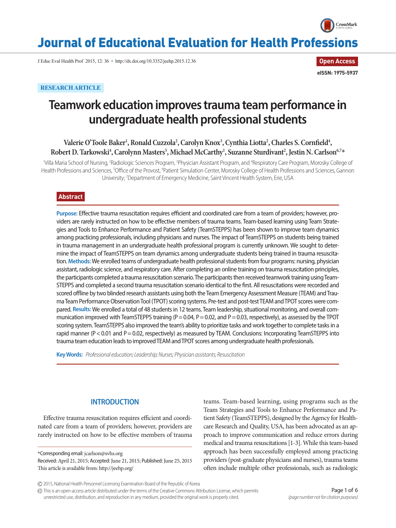

# Journal of Educational Evaluation for Health Professions

J Educ Eval Health Prof 2015, 12: 36 • http://dx.doi.org/10.3352/jeehp.2015.12.36

**Open Access eISSN: 1975-5937**

# **RESEARCH ARTICLE**

# **Teamwork education improves trauma team performance in undergraduate health professional students**

Valerie O'Toole Baker<sup>1</sup>, Ronald Cuzzola<sup>2</sup>, Carolyn Knox<sup>3</sup>, Cynthia Liotta<sup>2</sup>, Charles S. Cornfield<sup>4</sup>,  $R$ obert D. Tarkowski<sup>4</sup>, Carolynn Masters<sup>5</sup>, Michael McCarthy<sup>1</sup>, Suzanne Sturdivant<sup>2</sup>, Jestin N. Carlson<sup>6,7</sup>\*

<sup>1</sup>Villa Maria School of Nursing, <sup>2</sup>Radiologic Sciences Program, <sup>3</sup>Physician Assistant Program, and <sup>4</sup>Respiratory Care Program, Morosky College of Health Professions and Sciences, <sup>5</sup>Office of the Provost, <sup>6</sup>Patient Simulation Center, Morosky College of Health Professions and Sciences, Gannon University; <sup>7</sup>Department of Emergency Medicine, Saint Vincent Health System, Erie, USA

## **Abstract**

**Purpose:** Effective trauma resuscitation requires efficient and coordinated care from a team of providers; however, providers are rarely instructed on how to be effective members of trauma teams. Team-based learning using Team Strategies and Tools to Enhance Performance and Patient Safety (TeamSTEPPS) has been shown to improve team dynamics among practicing professionals, including physicians and nurses. The impact of TeamSTEPPS on students being trained in trauma management in an undergraduate health professional program is currently unknown. We sought to determine the impact of TeamSTEPPS on team dynamics among undergraduate students being trained in trauma resuscitation. **Methods:** We enrolled teams of undergraduate health professional students from four programs: nursing, physician assistant, radiologic science, and respiratory care. After completing an online training on trauma resuscitation principles, the participants completed a trauma resuscitation scenario. The participants then received teamwork training using Team-STEPPS and completed a second trauma resuscitation scenario identical to the first. All resuscitations were recorded and scored offline by two blinded research assistants using both the Team Emergency Assessment Measure (TEAM) and Trauma Team Performance Observation Tool (TPOT) scoring systems. Pre-test and post-test TEAM and TPOT scores were compared. **Results:** We enrolled a total of 48 students in 12 teams. Team leadership, situational monitoring, and overall communication improved with TeamSTEPPS training  $(P = 0.04, P = 0.02,$  and  $P = 0.03$ , respectively), as assessed by the TPOT scoring system. TeamSTEPPS also improved the team's ability to prioritize tasks and work together to complete tasks in a rapid manner (P < 0.01 and P = 0.02, respectively) as measured by TEAM. Conclusions: Incorporating TeamSTEPPS into trauma team education leads to improved TEAM and TPOT scores among undergraduate health professionals.

**Key Words:** *Professional education; Leadership; Nurses; Physician assistants; Resuscitation*

# **INTRODUCTION**

Effective trauma resuscitation requires efficient and coordinated care from a team of providers; however, providers are rarely instructed on how to be effective members of trauma

\*Corresponding email: jcarlson@svhs.org

Received: April 21, 2015; Accepted: June 21, 2015; Published: June 25, 2015 This article is available from: http://jeehp.org/

teams. Team-based learning, using programs such as the Team Strategies and Tools to Enhance Performance and Patient Safety (TeamSTEPPS), designed by the Agency for Healthcare Research and Quality, USA, has been advocated as an approach to improve communication and reduce errors during medical and trauma resuscitations [1-3]. While this team-based approach has been successfully employed among practicing providers (post-graduate physicians and nurses), trauma teams often include multiple other professionals, such as radiologic

This is an open-access article distributed under the terms of the Creative Commons Attribution License, which permits unrestricted use, distribution, and reproduction in any medium, provided the original work is properly cited.

<sup>2015,</sup> National Health Personnel Licensing Examination Board of the Republic of Korea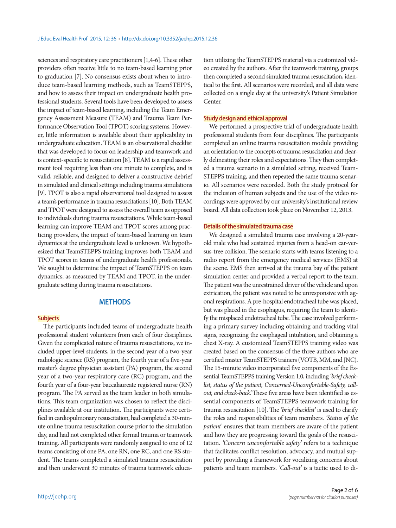sciences and respiratory care practitioners [1,4-6]. These other providers often receive little to no team-based learning prior to graduation [7]. No consensus exists about when to introduce team-based learning methods, such as TeamSTEPPS, and how to assess their impact on undergraduate health professional students. Several tools have been developed to assess the impact of team-based learning, including the Team Emergency Assessment Measure (TEAM) and Trauma Team Performance Observation Tool (TPOT) scoring systems. However, little information is available about their applicability in undergraduate education. TEAM is an observational checklist that was developed to focus on leadership and teamwork and is context-specific to resuscitation [8]. TEAM is a rapid assessment tool requiring less than one minute to complete, and is valid, reliable, and designed to deliver a constructive debrief in simulated and clinical settings including trauma simulations [9]. TPOT is also a rapid observational tool designed to assess a team's performance in trauma resuscitations [10]. Both TEAM and TPOT were designed to assess the overall team as opposed to individuals during trauma resuscitations. While team-based learning can improve TEAM and TPOT scores among practicing providers, the impact of team-based learning on team dynamics at the undergraduate level is unknown. We hypothesized that TeamSTEPPS training improves both TEAM and TPOT scores in teams of undergraduate health professionals. We sought to determine the impact of TeamSTEPPS on team dynamics, as measured by TEAM and TPOT, in the undergraduate setting during trauma resuscitations.

### **METHODS**

#### **Subjects**

The participants included teams of undergraduate health professional student volunteers from each of four disciplines. Given the complicated nature of trauma resuscitations, we included upper-level students, in the second year of a two-year radiologic science (RS) program, the fourth year of a five-year master's degree physician assistant (PA) program, the second year of a two-year respiratory care (RC) program, and the fourth year of a four-year baccalaureate registered nurse (RN) program. The PA served as the team leader in both simulations. This team organization was chosen to reflect the disciplines available at our institution. The participants were certified in cardiopulmonary resuscitation, had completed a 30-minute online trauma resuscitation course prior to the simulation day, and had not completed other formal trauma or teamwork training. All participants were randomly assigned to one of 12 teams consisting of one PA, one RN, one RC, and one RS student. The teams completed a simulated trauma resuscitation and then underwent 30 minutes of trauma teamwork educa-

tion utilizing the TeamSTEPPS material via a customized video created by the authors. After the teamwork training, groups then completed a second simulated trauma resuscitation, identical to the first. All scenarios were recorded, and all data were collected on a single day at the university's Patient Simulation Center.

#### **Study design and ethical approval**

We performed a prospective trial of undergraduate health professional students from four disciplines. The participants completed an online trauma resuscitation module providing an orientation to the concepts of trauma resuscitation and clearly delineating their roles and expectations. They then completed a trauma scenario in a simulated setting, received Team-STEPPS training, and then repeated the same trauma scenario. All scenarios were recorded. Both the study protocol for the inclusion of human subjects and the use of the video recordings were approved by our university's institutional review board. All data collection took place on November 12, 2013.

#### **Details of the simulated trauma case**

We designed a simulated trauma case involving a 20-yearold male who had sustained injuries from a head-on car-versus-tree collision. The scenario starts with teams listening to a radio report from the emergency medical services (EMS) at the scene. EMS then arrived at the trauma bay of the patient simulation center and provided a verbal report to the team. The patient was the unrestrained driver of the vehicle and upon extrication, the patient was noted to be unresponsive with agonal respirations. A pre-hospital endotracheal tube was placed, but was placed in the esophagus, requiring the team to identify the misplaced endotracheal tube. The case involved performing a primary survey including obtaining and tracking vital signs, recognizing the esophageal intubation, and obtaining a chest X-ray. A customized TeamSTEPPS training video was created based on the consensus of the three authors who are certified master TeamSTEPPS trainers (VOTB, MM, and JNC). The 15-minute video incorporated five components of the Essential TeamSTEPPS training Version 1.0, including *'brief checklist, status of the patient, Concerned-Uncomfortable-Safety, callout, and check-back.'* These five areas have been identified as essential components of TeamSTEPPS teamwork training for trauma resuscitation [10]. The *'brief checklist'* is used to clarify the roles and responsibilities of team members. *'Status of the patient'* ensures that team members are aware of the patient and how they are progressing toward the goals of the resuscitation. *'Concern uncomfortable safety'* refers to a technique that facilitates conflict resolution, advocacy, and mutual support by providing a framework for vocalizing concerns about patients and team members. *'Call-out'* is a tactic used to di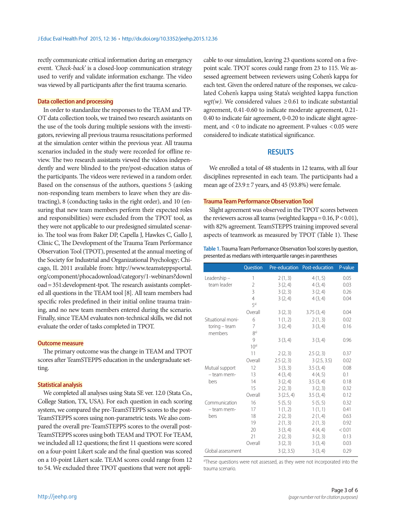rectly communicate critical information during an emergency event. *'Check-back'* is a closed-loop communication strategy used to verify and validate information exchange. The video was viewed by all participants after the first trauma scenario.

#### **Data collection and processing**

In order to standardize the responses to the TEAM and TP-OT data collection tools, we trained two research assistants on the use of the tools during multiple sessions with the investigators, reviewing all previous trauma resuscitations performed at the simulation center within the previous year. All trauma scenarios included in the study were recorded for offline review. The two research assistants viewed the videos independently and were blinded to the pre/post-education status of the participants. The videos were reviewed in a random order. Based on the consensus of the authors, questions 5 (asking non-responding team members to leave when they are distracting), 8 (conducting tasks in the right order), and 10 (ensuring that new team members perform their expected roles and responsibilities) were excluded from the TPOT tool, as they were not applicable to our predesigned simulated scenario. The tool was from Baker DP, Capella J, Hawkes C, Gallo J, Clinic C, The Development of the Trauma Team Performance Observation Tool (TPOT), presented at the annual meeting of the Society for Industrial and Organizational Psychology; Chicago, IL 2011 available from: http://www.teamsteppsportal. org/component/phocadownload/category/1-webinars?downl oad= 351:development-tpot. The research assistants completed all questions in the TEAM tool [8]. All team members had specific roles predefined in their initial online trauma training, and no new team members entered during the scenario. Finally, since TEAM evaluates non-technical skills, we did not evaluate the order of tasks completed in TPOT.

#### **Outcome measure**

The primary outcome was the change in TEAM and TPOT scores after TeamSTEPPS education in the undergraduate setting.

#### **Statistical analysis**

We completed all analyses using Stata SE ver. 12.0 (Stata Co., College Station, TX, USA). For each question in each scoring system, we compared the pre-TeamSTEPPS scores to the post-TeamSTEPPS scores using non-parametric tests. We also compared the overall pre-TeamSTEPPS scores to the overall post-TeamSTEPPS scores using both TEAM and TPOT. For TEAM, we included all 12 questions; the first 11 questions were scored on a four-point Likert scale and the final question was scored on a 10-point Likert scale. TEAM scores could range from 12 to 54. We excluded three TPOT questions that were not appli-

cable to our simulation, leaving 23 questions scored on a fivepoint scale. TPOT scores could range from 23 to 115. We assessed agreement between reviewers using Cohen's kappa for each test. Given the ordered nature of the responses, we calculated Cohen's kappa using Stata's weighted kappa function *wgt(w)*. We considered values  $\geq 0.61$  to indicate substantial agreement, 0.41-0.60 to indicate moderate agreement, 0.21- 0.40 to indicate fair agreement, 0-0.20 to indicate slight agreement, and < 0 to indicate no agreement. P-values < 0.05 were considered to indicate statistical significance.

## **RESULTS**

We enrolled a total of 48 students in 12 teams, with all four disciplines represented in each team. The participants had a mean age of  $23.9 \pm 7$  years, and 45 (93.8%) were female.

### **Trauma Team Performance Observation Tool**

Slight agreement was observed in the TPOT scores between the reviewers across all teams (weighted kappa= 0.16, P< 0.01), with 82% agreement. TeamSTEPPS training improved several aspects of teamwork as measured by TPOT (Table 1). These

| Table 1. Trauma Team Performance Observation Tool scores by question, |  |
|-----------------------------------------------------------------------|--|
| presented as medians with interquartile ranges in parentheses         |  |

|                                           | Question        |           | Pre-education Post-education | P-value |
|-------------------------------------------|-----------------|-----------|------------------------------|---------|
| Leadership-                               | 1               | 2(1, 3)   | 4(1, 5)                      | 0.05    |
| team leader                               | 2               | 3(2, 4)   | 4(3, 4)                      | 0.03    |
|                                           | 3               | 3(2, 3)   | 3(2, 4)                      | 0.26    |
|                                           | 4               | 3(2, 4)   | 4(3, 4)                      | 0.04    |
|                                           | 5a)             |           |                              |         |
|                                           | Overall         | 3(2, 3)   | 3.75(3, 4)                   | 0.04    |
| Situational moni-                         | 6               | 1(1, 2)   | 2(1, 3)                      | 0.02    |
| $toring - team$                           | 7               | 3(2, 4)   | 3(3, 4)                      | 0.16    |
| members                                   | R <sup>a</sup>  |           |                              |         |
|                                           | 9               | 3(3, 4)   | 3(3, 4)                      | 0.96    |
|                                           | 10 <sup>a</sup> |           |                              |         |
|                                           | 11              | 2(2, 3)   | 2.5(2, 3)                    | 0.37    |
|                                           | Overall         | 2.5(2, 3) | 3(2.5, 3.5)                  | 0.02    |
| Mutual support                            | 12              | 3(3, 3)   | 3.5(3,4)                     | 0.08    |
| - team mem-                               | 13              | 4(3, 4)   | 4(4, 5)                      | 0.1     |
| bers                                      | 14              | 3(2, 4)   | 3.5(3,4)                     | 0.18    |
|                                           | 15              | 2(2, 3)   | 3(2, 3)                      | 0.32    |
|                                           | Overall         | 3(2.5, 4) | 3.5(3,4)                     | 0.12    |
| Communication                             | 16              | 5(5, 5)   | 5(5, 5)                      | 0.32    |
| - team mem-                               | 17              | 1(1, 2)   | 1(1, 1)                      | 0.41    |
| bers                                      | 18              | 2(2, 3)   | 2(1, 4)                      | 0.63    |
|                                           | 19              | 2(1, 3)   | 2(1, 3)                      | 0.92    |
|                                           | 20              | 3(3, 4)   | 4(4, 4)                      | < 0.01  |
|                                           | 21              | 2(2, 3)   | 3(2, 3)                      | 0.13    |
|                                           | Overall         | 3(2, 3)   | 3(3, 4)                      | 0.03    |
| 3(3, 4)<br>Global assessment<br>3(2, 3.5) |                 |           |                              | 0.29    |

a)These questions were not assessed, as they were not incorporated into the trauma scenario.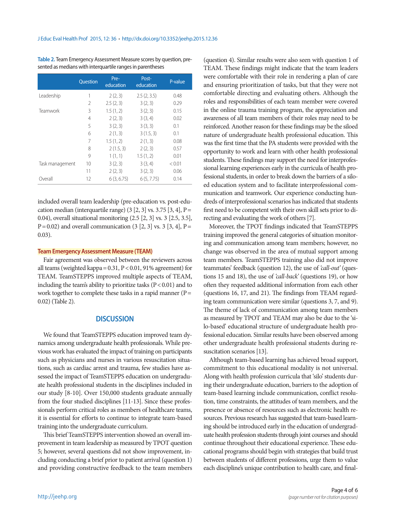**Table 2.** Team Emergency Assessment Measure scores by question, presented as medians with interquartile ranges in parentheses

|                 | <b>Ouestion</b> | Pre-<br>education | Post-<br>education | P-value |
|-----------------|-----------------|-------------------|--------------------|---------|
| Leadership      | 1               | 2(2, 3)           | 2.5(2, 3.5)        | 0.48    |
|                 | 2               | 2.5(2, 3)         | 3(2, 3)            | 0.29    |
| Teamwork        | 3               | 1.5(1, 2)         | 3(2, 3)            | 0.15    |
|                 | 4               | 2(2, 3)           | 3(3, 4)            | 0.02    |
|                 | 5               | 3(2, 3)           | 3(3, 3)            | 0.1     |
|                 | 6               | 2(1, 3)           | 3(1.5, 3)          | 0.1     |
|                 | 7               | 1.5(1, 2)         | 2(1, 3)            | 0.08    |
|                 | 8               | 2(1.5, 3)         | 2(2, 3)            | 0.57    |
|                 | 9               | 1(1, 1)           | 1.5(1, 2)          | 0.01    |
| Task management | 10              | 3(2, 3)           | 3(3, 4)            | < 0.01  |
|                 | 11              | 2(2, 3)           | 3(2, 3)            | 0.06    |
| Overall         | 12              | 6(3, 6.75)        | 6(5, 7.75)         | 0.14    |

included overall team leadership (pre-education vs. post-education median (interquartile range) (3 [2, 3] vs. 3.75 [3, 4], P= 0.04), overall situational monitoring (2.5 [2, 3] vs. 3 [2.5, 3.5],  $P = 0.02$ ) and overall communication (3 [2, 3] vs. 3 [3, 4],  $P =$ 0.03).

#### **Team Emergency Assessment Measure (TEAM)**

Fair agreement was observed between the reviewers across all teams (weighted kappa= 0.31, P< 0.01, 91% agreement) for TEAM. TeamSTEPPS improved multiple aspects of TEAM, including the team's ability to prioritize tasks (P< 0.01) and to work together to complete these tasks in a rapid manner ( $P=$ 0.02) (Table 2).

## **DISCUSSION**

We found that TeamSTEPPS education improved team dynamics among undergraduate health professionals. While previous work has evaluated the impact of training on participants such as physicians and nurses in various resuscitation situations, such as cardiac arrest and trauma, few studies have assessed the impact of TeamSTEPPS education on undergraduate health professional students in the disciplines included in our study [8-10]. Over 150,000 students graduate annually from the four studied disciplines [11-13]. Since these professionals perform critical roles as members of healthcare teams, it is essential for efforts to continue to integrate team-based training into the undergraduate curriculum.

This brief TeamSTEPPS intervention showed an overall improvement in team leadership as measured by TPOT question 5; however, several questions did not show improvement, including conducting a brief prior to patient arrival (question 1) and providing constructive feedback to the team members

(question 4). Similar results were also seen with question 1 of TEAM. These findings might indicate that the team leaders were comfortable with their role in rendering a plan of care and ensuring prioritization of tasks, but that they were not comfortable directing and evaluating others. Although the roles and responsibilities of each team member were covered in the online trauma training program, the appreciation and awareness of all team members of their roles may need to be reinforced. Another reason for these findings may be the siloed nature of undergraduate health professional education. This was the first time that the PA students were provided with the opportunity to work and learn with other health professional students. These findings may support the need for interprofessional learning experiences early in the curricula of health professional students, in order to break down the barriers of a siloed education system and to facilitate interprofessional communication and teamwork. Our experience conducting hundreds of interprofessional scenarios has indicated that students first need to be competent with their own skill sets prior to directing and evaluating the work of others [7].

Moreover, the TPOT findings indicated that TeamSTEPPS training improved the general categories of situation monitoring and communication among team members; however, no change was observed in the area of mutual support among team members. TeamSTEPPS training also did not improve teammates' feedback (question 12), the use of *'call-out'* (questions 15 and 18), the use of *'call-back'* (questions 19), or how often they requested additional information from each other (questions 16, 17, and 21). The findings from TEAM regarding team communication were similar (questions 3, 7, and 9). The theme of lack of communication among team members as measured by TPOT and TEAM may also be due to the 'silo-based' educational structure of undergraduate health professional education. Similar results have been observed among other undergraduate health professional students during resuscitation scenarios [13].

Although team-based learning has achieved broad support, commitment to this educational modality is not universal. Along with health profession curricula that 'silo' students during their undergraduate education, barriers to the adoption of team-based learning include communication, conflict resolution, time constraints, the attitudes of team members, and the presence or absence of resources such as electronic health resources. Previous research has suggested that team-based learning should be introduced early in the education of undergraduate health profession students through joint courses and should continue throughout their educational experience. These educational programs should begin with strategies that build trust between students of different professions, urge them to value each discipline's unique contribution to health care, and final-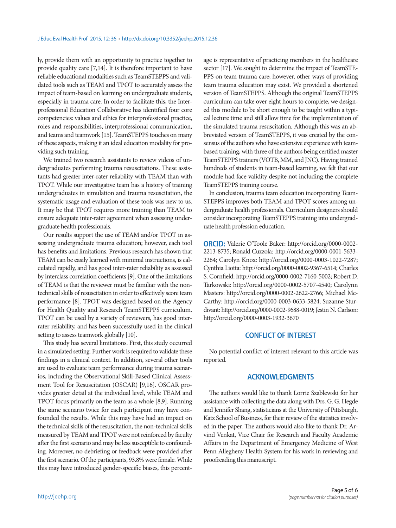ly, provide them with an opportunity to practice together to provide quality care [7,14]. It is therefore important to have reliable educational modalities such as TeamSTEPPS and validated tools such as TEAM and TPOT to accurately assess the impact of team-based on learning on undergraduate students, especially in trauma care. In order to facilitate this, the Interprofessional Education Collaborative has identified four core competencies: values and ethics for interprofessional practice, roles and responsibilities, interprofessional communication, and teams and teamwork [15]. TeamSTEPPS touches on many of these aspects, making it an ideal education modality for providing such training.

We trained two research assistants to review videos of undergraduates performing trauma resuscitations. These assistants had greater inter-rater reliability with TEAM than with TPOT. While our investigative team has a history of training undergraduates in simulation and trauma resuscitation, the systematic usage and evaluation of these tools was new to us. It may be that TPOT requires more training than TEAM to ensure adequate inter-rater agreement when assessing undergraduate health professionals.

Our results support the use of TEAM and/or TPOT in assessing undergraduate trauma education; however, each tool has benefits and limitations. Previous research has shown that TEAM can be easily learned with minimal instructions, is calculated rapidly, and has good inter-rater reliability as assessed by interclass correlation coefficients [9]. One of the limitations of TEAM is that the reviewer must be familiar with the nontechnical skills of resuscitation in order to effectively score team performance [8]. TPOT was designed based on the Agency for Health Quality and Research TeamSTEPPS curriculum. TPOT can be used by a variety of reviewers, has good interrater reliability, and has been successfully used in the clinical setting to assess teamwork globally [10].

This study has several limitations. First, this study occurred in a simulated setting. Further work is required to validate these findings in a clinical context. In addition, several other tools are used to evaluate team performance during trauma scenarios, including the Observational Skill-Based Clinical Assessment Tool for Resuscitation (OSCAR) [9,16]. OSCAR provides greater detail at the individual level, while TEAM and TPOT focus primarily on the team as a whole [8,9]. Running the same scenario twice for each participant may have confounded the results. While this may have had an impact on the technical skills of the resuscitation, the non-technical skills measured by TEAM and TPOT were not reinforced by faculty after the first scenario and may be less susceptible to confounding. Moreover, no debriefing or feedback were provided after the first scenario. Of the participants, 93.8% were female. While this may have introduced gender-specific biases, this percentage is representative of practicing members in the healthcare sector [17]. We sought to determine the impact of TeamSTE-PPS on team trauma care; however, other ways of providing team trauma education may exist. We provided a shortened version of TeamSTEPPS. Although the original TeamSTEPPS curriculum can take over eight hours to complete, we designed this module to be short enough to be taught within a typical lecture time and still allow time for the implementation of the simulated trauma resuscitation. Although this was an abbreviated version of TeamSTEPPS, it was created by the consensus of the authors who have extensive experience with teambased training, with three of the authors being certified master TeamSTEPPS trainers (VOTB, MM, and JNC). Having trained hundreds of students in team-based learning, we felt that our module had face validity despite not including the complete TeamSTEPPS training course.

In conclusion, trauma team education incorporating Team-STEPPS improves both TEAM and TPOT scores among undergraduate health professionals. Curriculum designers should consider incorporating TeamSTEPPS training into undergraduate health profession education.

**ORCID:** Valerie O'Toole Baker: http://orcid.org/0000-0002- 2213-8735; Ronald Cuzzola: http://orcid.org/0000-0001-5633- 2264; Carolyn Knox: http://orcid.org/0000-0003-1022-7287; Cynthia Liotta: http://orcid.org/0000-0002-9367-6514; Charles S. Cornfield: http://orcid.org/0000-0002-7160-5002; Robert D. Tarkowski: http://orcid.org/0000-0002-5707-4540; Carolynn Masters: http://orcid.org/0000-0002-2622-2766; Michael Mc-Carthy: http://orcid.org/0000-0003-0633-5824; Suzanne Sturdivant: http://orcid.org/0000-0002-9688-0019; Jestin N. Carlson: http://orcid.org/0000-0003-1932-3670

## **CONFLICT OF INTEREST**

No potential conflict of interest relevant to this article was reported.

## **ACKNOWLEDGMENTS**

The authors would like to thank Lorrie Szablewski for her assistance with collecting the data along with Drs. G. G. Hegde and Jennifer Shang, statisticians at the University of Pittsburgh, Katz School of Business, for their review of the statistics involved in the paper. The authors would also like to thank Dr. Arvind Venkat, Vice Chair for Research and Faculty Academic Affairs in the Department of Emergency Medicine of West Penn Allegheny Health System for his work in reviewing and proofreading this manuscript.